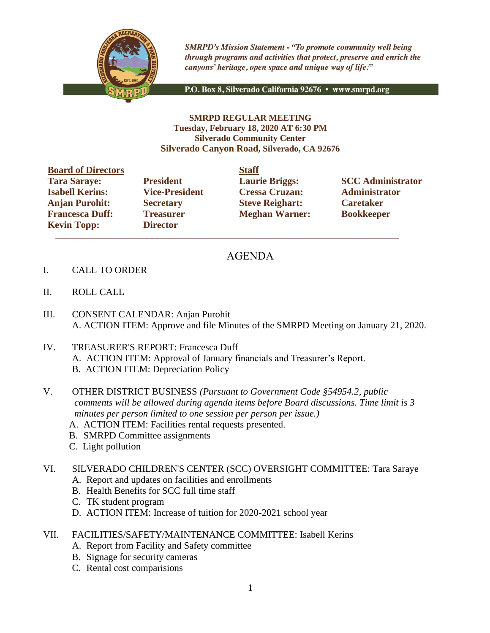

**SMRPD's Mission Statement - "To promote community well being** through programs and activities that protect, preserve and enrich the canyons' heritage, open space and unique way of life."

P.O. Box 8, Silverado California 92676 · www.smrpd.org

## **SMRPD REGULAR MEETING Tuesday, February 18, 2020 AT 6:30 PM Silverado Community Center Silverado Canyon Road, Silverado, CA 92676**

| <b>Board of Directors</b> |                       | <b>Staff</b> |
|---------------------------|-----------------------|--------------|
| <b>Tara Saraye:</b>       | <b>President</b>      | Laur         |
| <b>Isabell Kerins:</b>    | <b>Vice-President</b> | <b>Cres</b>  |
| <b>Anjan Purohit:</b>     | <b>Secretary</b>      | <b>Steve</b> |
| <b>Francesca Duff:</b>    | <b>Treasurer</b>      | Megl         |
| <b>Kevin Topp:</b>        | <b>Director</b>       |              |

**Director**  $\overline{\phantom{a}}$  ,  $\overline{\phantom{a}}$  ,  $\overline{\phantom{a}}$  ,  $\overline{\phantom{a}}$  ,  $\overline{\phantom{a}}$  ,  $\overline{\phantom{a}}$  ,  $\overline{\phantom{a}}$  ,  $\overline{\phantom{a}}$  ,  $\overline{\phantom{a}}$  ,  $\overline{\phantom{a}}$  ,  $\overline{\phantom{a}}$  ,  $\overline{\phantom{a}}$  ,  $\overline{\phantom{a}}$  ,  $\overline{\phantom{a}}$  ,  $\overline{\phantom{a}}$  ,  $\overline{\phantom{a}}$ 

**Isabell Kerins: Vice-President Cressa Cruzan: Administrator Anjan Purohit: Secretary Steve Reighart: Caretaker Freasurer Meghan Warner: Bookkeeper** 

**Tarage: President Laurie Briggs: SCC Administrator** 

## AGENDA

- I. CALL TO ORDER
- II. ROLL CALL
- III. CONSENT CALENDAR: Anjan Purohit A. ACTION ITEM: Approve and file Minutes of the SMRPD Meeting on January 21, 2020.
- IV. TREASURER'S REPORT: Francesca Duff A. ACTION ITEM: Approval of January financials and Treasurer's Report. B. ACTION ITEM: Depreciation Policy
- V. OTHER DISTRICT BUSINESS *(Pursuant to Government Code §54954.2, public comments will be allowed during agenda items before Board discussions. Time limit is 3 minutes per person limited to one session per person per issue.)*
	- A. ACTION ITEM: Facilities rental requests presented.
	- B. SMRPD Committee assignments
	- C. Light pollution

## VI. SILVERADO CHILDREN'S CENTER (SCC) OVERSIGHT COMMITTEE: Tara Saraye

- A. Report and updates on facilities and enrollments
- B. Health Benefits for SCC full time staff
- C. TK student program
- D. ACTION ITEM: Increase of tuition for 2020-2021 school year
- VII. FACILITIES/SAFETY/MAINTENANCE COMMITTEE: Isabell Kerins
	- A. Report from Facility and Safety committee
	- B. Signage for security cameras
	- C. Rental cost comparisions